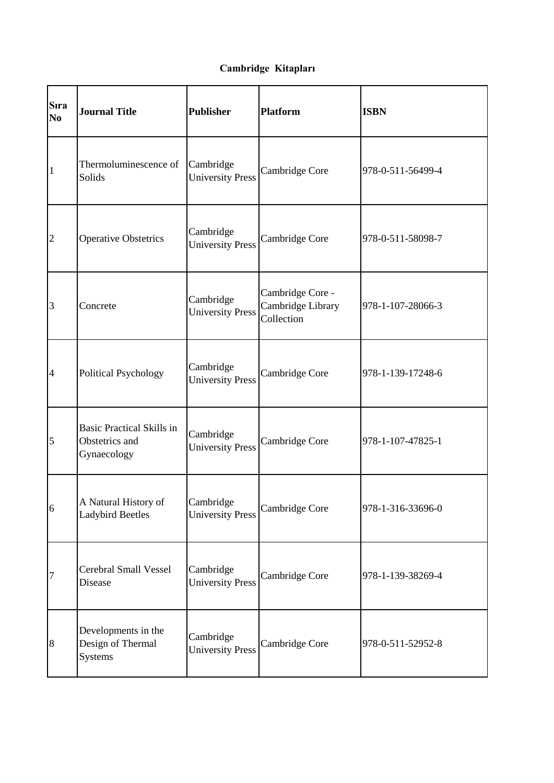## **Cambridge Kitapları**

| <b>S</b> ıra<br>N <sub>0</sub> | <b>Journal Title</b>                                              | <b>Publisher</b>                     | <b>Platform</b>                                     | <b>ISBN</b>       |
|--------------------------------|-------------------------------------------------------------------|--------------------------------------|-----------------------------------------------------|-------------------|
| $\mathbf{1}$                   | Thermoluminescence of<br>Solids                                   | Cambridge<br><b>University Press</b> | Cambridge Core                                      | 978-0-511-56499-4 |
| $\overline{2}$                 | <b>Operative Obstetrics</b>                                       | Cambridge<br><b>University Press</b> | Cambridge Core                                      | 978-0-511-58098-7 |
| 3                              | Concrete                                                          | Cambridge<br><b>University Press</b> | Cambridge Core -<br>Cambridge Library<br>Collection | 978-1-107-28066-3 |
| $\overline{4}$                 | <b>Political Psychology</b>                                       | Cambridge<br><b>University Press</b> | Cambridge Core                                      | 978-1-139-17248-6 |
| 5                              | <b>Basic Practical Skills in</b><br>Obstetrics and<br>Gynaecology | Cambridge<br><b>University Press</b> | Cambridge Core                                      | 978-1-107-47825-1 |
| 6                              | A Natural History of<br><b>Ladybird Beetles</b>                   | Cambridge<br><b>University Press</b> | Cambridge Core                                      | 978-1-316-33696-0 |
| 7                              | Cerebral Small Vessel<br>Disease                                  | Cambridge<br><b>University Press</b> | Cambridge Core                                      | 978-1-139-38269-4 |
| $\boldsymbol{8}$               | Developments in the<br>Design of Thermal<br>Systems               | Cambridge<br><b>University Press</b> | Cambridge Core                                      | 978-0-511-52952-8 |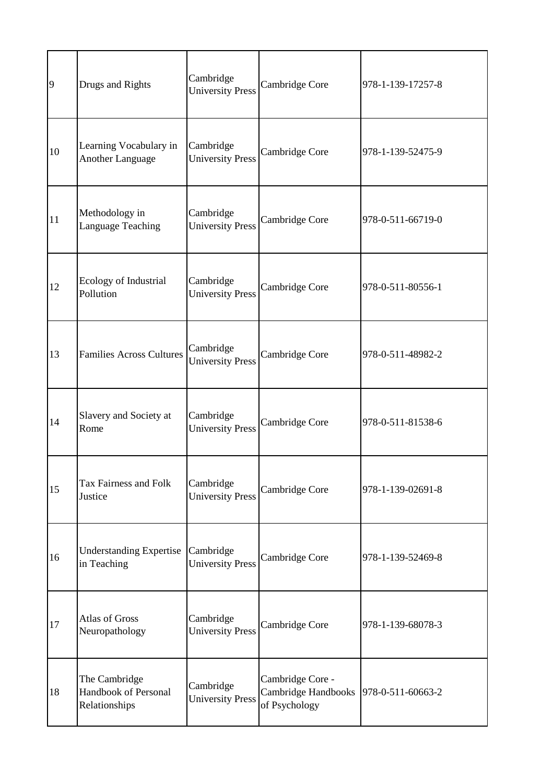| 9  | Drugs and Rights                                       | Cambridge<br><b>University Press</b> | Cambridge Core                                           | 978-1-139-17257-8 |
|----|--------------------------------------------------------|--------------------------------------|----------------------------------------------------------|-------------------|
| 10 | Learning Vocabulary in<br><b>Another Language</b>      | Cambridge<br><b>University Press</b> | Cambridge Core                                           | 978-1-139-52475-9 |
| 11 | Methodology in<br>Language Teaching                    | Cambridge<br><b>University Press</b> | Cambridge Core                                           | 978-0-511-66719-0 |
| 12 | Ecology of Industrial<br>Pollution                     | Cambridge<br><b>University Press</b> | Cambridge Core                                           | 978-0-511-80556-1 |
| 13 | <b>Families Across Cultures</b>                        | Cambridge<br><b>University Press</b> | Cambridge Core                                           | 978-0-511-48982-2 |
| 14 | Slavery and Society at<br>Rome                         | Cambridge<br><b>University Press</b> | Cambridge Core                                           | 978-0-511-81538-6 |
| 15 | Tax Fairness and Folk<br>Justice                       | Cambridge<br><b>University Press</b> | Cambridge Core                                           | 978-1-139-02691-8 |
| 16 | Understanding Expertise Cambridge<br>in Teaching       | <b>University Press</b>              | Cambridge Core                                           | 978-1-139-52469-8 |
| 17 | <b>Atlas of Gross</b><br>Neuropathology                | Cambridge<br><b>University Press</b> | Cambridge Core                                           | 978-1-139-68078-3 |
| 18 | The Cambridge<br>Handbook of Personal<br>Relationships | Cambridge<br><b>University Press</b> | Cambridge Core -<br>Cambridge Handbooks<br>of Psychology | 978-0-511-60663-2 |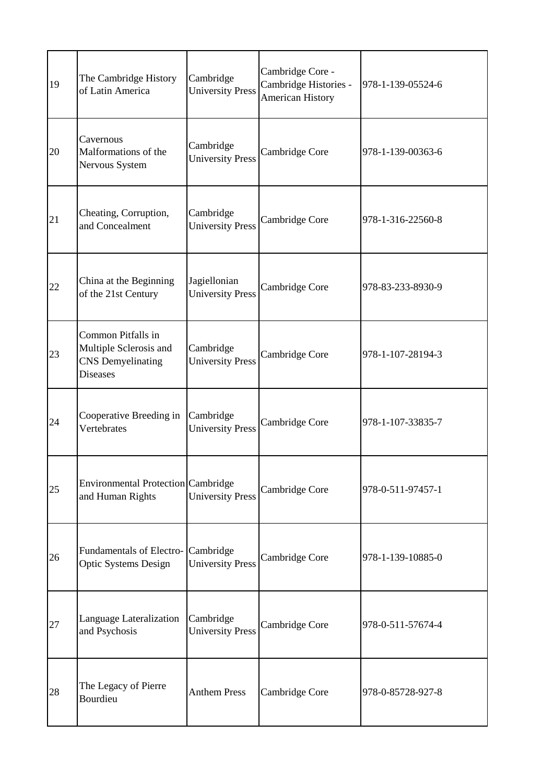| 19 | The Cambridge History<br>of Latin America                                                   | Cambridge<br><b>University Press</b>    | Cambridge Core -<br>Cambridge Histories -<br><b>American History</b> | 978-1-139-05524-6 |
|----|---------------------------------------------------------------------------------------------|-----------------------------------------|----------------------------------------------------------------------|-------------------|
| 20 | Cavernous<br>Malformations of the<br>Nervous System                                         | Cambridge<br><b>University Press</b>    | Cambridge Core                                                       | 978-1-139-00363-6 |
| 21 | Cheating, Corruption,<br>and Concealment                                                    | Cambridge<br><b>University Press</b>    | Cambridge Core                                                       | 978-1-316-22560-8 |
| 22 | China at the Beginning<br>of the 21st Century                                               | Jagiellonian<br><b>University Press</b> | Cambridge Core                                                       | 978-83-233-8930-9 |
| 23 | Common Pitfalls in<br>Multiple Sclerosis and<br><b>CNS</b> Demyelinating<br><b>Diseases</b> | Cambridge<br><b>University Press</b>    | Cambridge Core                                                       | 978-1-107-28194-3 |
| 24 | Cooperative Breeding in<br>Vertebrates                                                      | Cambridge<br><b>University Press</b>    | Cambridge Core                                                       | 978-1-107-33835-7 |
| 25 | Environmental Protection Cambridge<br>and Human Rights                                      | <b>University Press</b>                 | Cambridge Core                                                       | 978-0-511-97457-1 |
| 26 | Fundamentals of Electro- Cambridge<br><b>Optic Systems Design</b>                           | <b>University Press</b>                 | Cambridge Core                                                       | 978-1-139-10885-0 |
| 27 | Language Lateralization<br>and Psychosis                                                    | Cambridge<br><b>University Press</b>    | Cambridge Core                                                       | 978-0-511-57674-4 |
| 28 | The Legacy of Pierre<br>Bourdieu                                                            | <b>Anthem Press</b>                     | Cambridge Core                                                       | 978-0-85728-927-8 |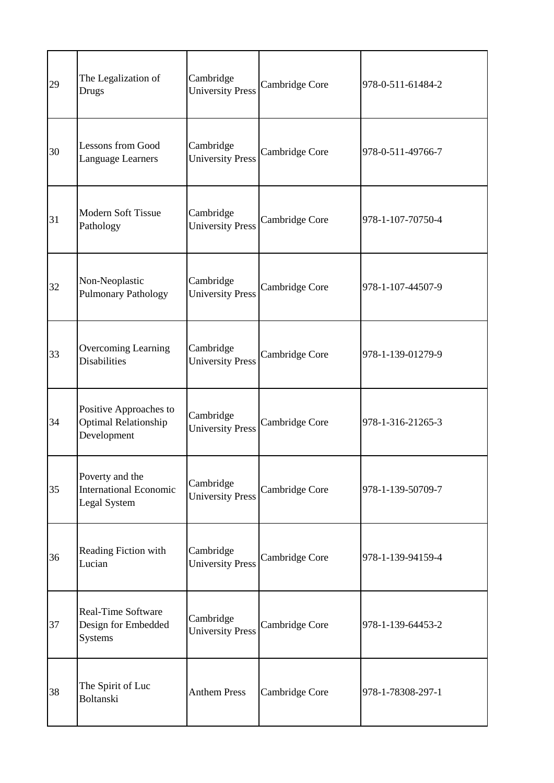| 29 | The Legalization of<br>Drugs                                         | Cambridge<br><b>University Press</b> | Cambridge Core | 978-0-511-61484-2 |
|----|----------------------------------------------------------------------|--------------------------------------|----------------|-------------------|
| 30 | <b>Lessons from Good</b><br>Language Learners                        | Cambridge<br><b>University Press</b> | Cambridge Core | 978-0-511-49766-7 |
| 31 | <b>Modern Soft Tissue</b><br>Pathology                               | Cambridge<br><b>University Press</b> | Cambridge Core | 978-1-107-70750-4 |
| 32 | Non-Neoplastic<br><b>Pulmonary Pathology</b>                         | Cambridge<br><b>University Press</b> | Cambridge Core | 978-1-107-44507-9 |
| 33 | <b>Overcoming Learning</b><br><b>Disabilities</b>                    | Cambridge<br><b>University Press</b> | Cambridge Core | 978-1-139-01279-9 |
| 34 | Positive Approaches to<br><b>Optimal Relationship</b><br>Development | Cambridge<br><b>University Press</b> | Cambridge Core | 978-1-316-21265-3 |
| 35 | Poverty and the<br><b>International Economic</b><br>Legal System     | Cambridge<br><b>University Press</b> | Cambridge Core | 978-1-139-50709-7 |
| 36 | Reading Fiction with<br>Lucian                                       | Cambridge<br><b>University Press</b> | Cambridge Core | 978-1-139-94159-4 |
| 37 | Real-Time Software<br>Design for Embedded<br>Systems                 | Cambridge<br><b>University Press</b> | Cambridge Core | 978-1-139-64453-2 |
| 38 | The Spirit of Luc<br><b>Boltanski</b>                                | <b>Anthem Press</b>                  | Cambridge Core | 978-1-78308-297-1 |